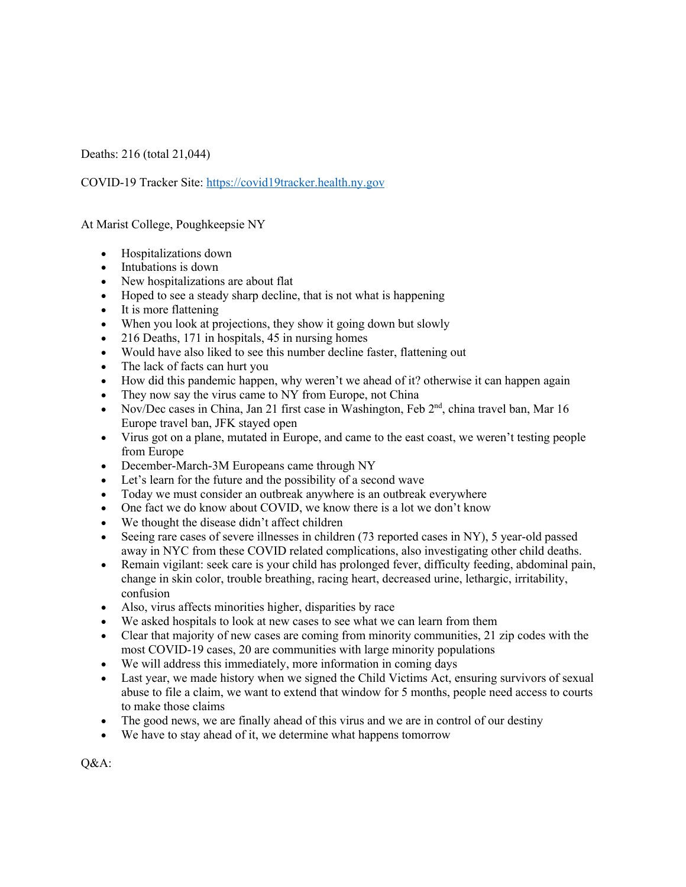Deaths: 216 (total 21,044)

COVID-19 Tracker Site: https://covid19tracker.health.ny.gov

At Marist College, Poughkeepsie NY

- Hospitalizations down
- Intubations is down
- New hospitalizations are about flat
- Hoped to see a steady sharp decline, that is not what is happening
- It is more flattening
- When you look at projections, they show it going down but slowly
- 216 Deaths, 171 in hospitals, 45 in nursing homes
- Would have also liked to see this number decline faster, flattening out
- The lack of facts can hurt you
- How did this pandemic happen, why weren't we ahead of it? otherwise it can happen again
- They now say the virus came to NY from Europe, not China
- Nov/Dec cases in China, Jan 21 first case in Washington, Feb  $2<sup>nd</sup>$ , china travel ban, Mar 16 Europe travel ban, JFK stayed open
- Virus got on a plane, mutated in Europe, and came to the east coast, we weren't testing people from Europe
- December-March-3M Europeans came through NY
- Let's learn for the future and the possibility of a second wave
- Today we must consider an outbreak anywhere is an outbreak everywhere
- One fact we do know about COVID, we know there is a lot we don't know
- We thought the disease didn't affect children
- Seeing rare cases of severe illnesses in children (73 reported cases in NY), 5 year-old passed away in NYC from these COVID related complications, also investigating other child deaths.
- Remain vigilant: seek care is your child has prolonged fever, difficulty feeding, abdominal pain, change in skin color, trouble breathing, racing heart, decreased urine, lethargic, irritability, confusion
- Also, virus affects minorities higher, disparities by race
- We asked hospitals to look at new cases to see what we can learn from them
- Clear that majority of new cases are coming from minority communities, 21 zip codes with the most COVID-19 cases, 20 are communities with large minority populations
- We will address this immediately, more information in coming days
- Last year, we made history when we signed the Child Victims Act, ensuring survivors of sexual abuse to file a claim, we want to extend that window for 5 months, people need access to courts to make those claims
- The good news, we are finally ahead of this virus and we are in control of our destiny
- We have to stay ahead of it, we determine what happens tomorrow

Q&A: